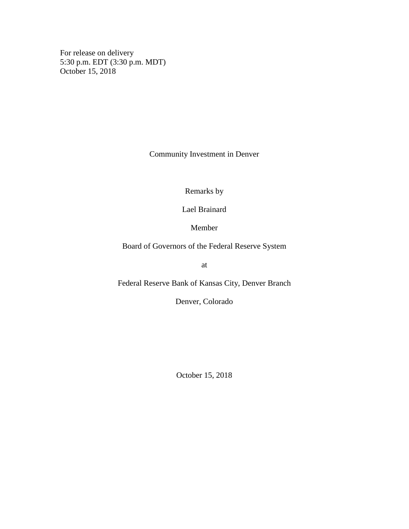For release on delivery 5:30 p.m. EDT (3:30 p.m. MDT) October 15, 2018

Community Investment in Denver

Remarks by

Lael Brainard

Member

Board of Governors of the Federal Reserve System

at

Federal Reserve Bank of Kansas City, Denver Branch

Denver, Colorado

October 15, 2018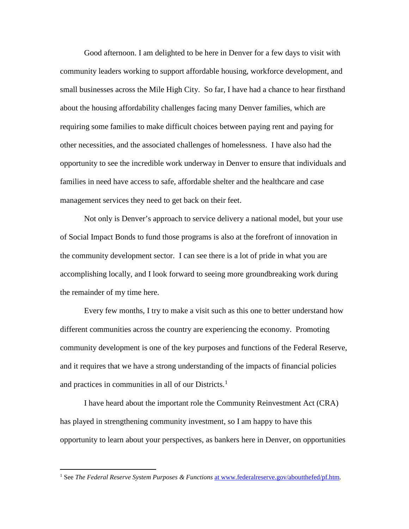Good afternoon. I am delighted to be here in Denver for a few days to visit with community leaders working to support affordable housing, workforce development, and small businesses across the Mile High City. So far, I have had a chance to hear firsthand about the housing affordability challenges facing many Denver families, which are requiring some families to make difficult choices between paying rent and paying for other necessities, and the associated challenges of homelessness. I have also had the opportunity to see the incredible work underway in Denver to ensure that individuals and families in need have access to safe, affordable shelter and the healthcare and case management services they need to get back on their feet.

Not only is Denver's approach to service delivery a national model, but your use of Social Impact Bonds to fund those programs is also at the forefront of innovation in the community development sector. I can see there is a lot of pride in what you are accomplishing locally, and I look forward to seeing more groundbreaking work during the remainder of my time here.

Every few months, I try to make a visit such as this one to better understand how different communities across the country are experiencing the economy. Promoting community development is one of the key purposes and functions of the Federal Reserve, and it requires that we have a strong understanding of the impacts of financial policies and practices in communities in all of our Districts. [1](#page-1-0)

I have heard about the important role the Community Reinvestment Act (CRA) has played in strengthening community investment, so I am happy to have this opportunity to learn about your perspectives, as bankers here in Denver, on opportunities

<span id="page-1-0"></span> <sup>1</sup> See *The Federal Reserve System Purposes & Functions* at [www.federalreserve.gov/aboutthefed/pf.htm.](https://www.federalreserve.gov/aboutthefed/pf.htm)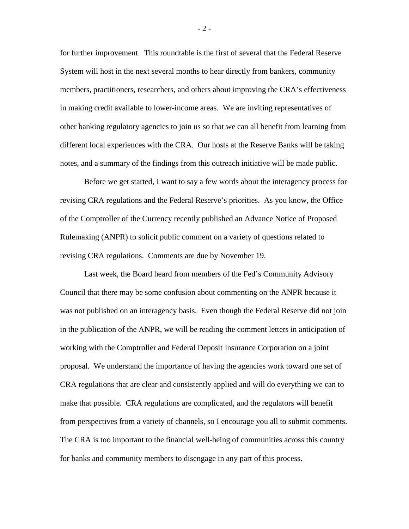for further improvement. This roundtable is the first of several that the Federal Reserve System will host in the next several months to hear directly from bankers, community members, practitioners, researchers, and others about improving the CRA's effectiveness in making credit available to lower-income areas. We are inviting representatives of other banking regulatory agencies to join us so that we can all benefit from learning from different local experiences with the CRA. Our hosts at the Reserve Banks will be taking notes, and a summary of the findings from this outreach initiative will be made public.

Before we get started, I want to say a few words about the interagency process for revising CRA regulations and the Federal Reserve's priorities. As you know, the Office of the Comptroller of the Currency recently published an Advance Notice of Proposed Rulemaking (ANPR) to solicit public comment on a variety of questions related to revising CRA regulations. Comments are due by November 19.

Last week, the Board heard from members of the Fed's Community Advisory Council that there may be some confusion about commenting on the ANPR because it was not published on an interagency basis. Even though the Federal Reserve did not join in the publication of the ANPR, we will be reading the comment letters in anticipation of working with the Comptroller and Federal Deposit Insurance Corporation on a joint proposal. We understand the importance of having the agencies work toward one set of CRA regulations that are clear and consistently applied and will do everything we can to make that possible. CRA regulations are complicated, and the regulators will benefit from perspectives from a variety of channels, so I encourage you all to submit comments. The CRA is too important to the financial well-being of communities across this country for banks and community members to disengage in any part of this process.

- 2 -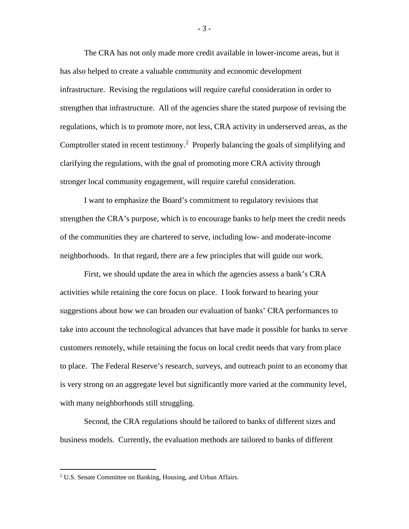The CRA has not only made more credit available in lower-income areas, but it has also helped to create a valuable community and economic development infrastructure. Revising the regulations will require careful consideration in order to strengthen that infrastructure. All of the agencies share the stated purpose of revising the regulations, which is to promote more, not less, CRA activity in underserved areas, as the Comptroller stated in recent testimony.<sup>[2](#page-3-0)</sup> Properly balancing the goals of simplifying and clarifying the regulations, with the goal of promoting more CRA activity through stronger local community engagement, will require careful consideration.

I want to emphasize the Board's commitment to regulatory revisions that strengthen the CRA's purpose, which is to encourage banks to help meet the credit needs of the communities they are chartered to serve, including low- and moderate-income neighborhoods. In that regard, there are a few principles that will guide our work.

First, we should update the area in which the agencies assess a bank's CRA activities while retaining the core focus on place. I look forward to hearing your suggestions about how we can broaden our evaluation of banks' CRA performances to take into account the technological advances that have made it possible for banks to serve customers remotely, while retaining the focus on local credit needs that vary from place to place. The Federal Reserve's research, surveys, and outreach point to an economy that is very strong on an aggregate level but significantly more varied at the community level, with many neighborhoods still struggling.

Second, the CRA regulations should be tailored to banks of different sizes and business models. Currently, the evaluation methods are tailored to banks of different

- 3 -

<span id="page-3-0"></span> <sup>2</sup> U.S. Senate Committee on Banking, Housing, and Urban Affairs.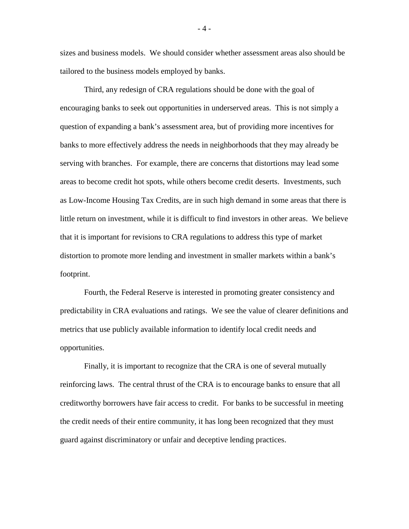sizes and business models. We should consider whether assessment areas also should be tailored to the business models employed by banks.

Third, any redesign of CRA regulations should be done with the goal of encouraging banks to seek out opportunities in underserved areas. This is not simply a question of expanding a bank's assessment area, but of providing more incentives for banks to more effectively address the needs in neighborhoods that they may already be serving with branches. For example, there are concerns that distortions may lead some areas to become credit hot spots, while others become credit deserts. Investments, such as Low-Income Housing Tax Credits, are in such high demand in some areas that there is little return on investment, while it is difficult to find investors in other areas. We believe that it is important for revisions to CRA regulations to address this type of market distortion to promote more lending and investment in smaller markets within a bank's footprint.

Fourth, the Federal Reserve is interested in promoting greater consistency and predictability in CRA evaluations and ratings. We see the value of clearer definitions and metrics that use publicly available information to identify local credit needs and opportunities.

Finally, it is important to recognize that the CRA is one of several mutually reinforcing laws. The central thrust of the CRA is to encourage banks to ensure that all creditworthy borrowers have fair access to credit. For banks to be successful in meeting the credit needs of their entire community, it has long been recognized that they must guard against discriminatory or unfair and deceptive lending practices.

- 4 -